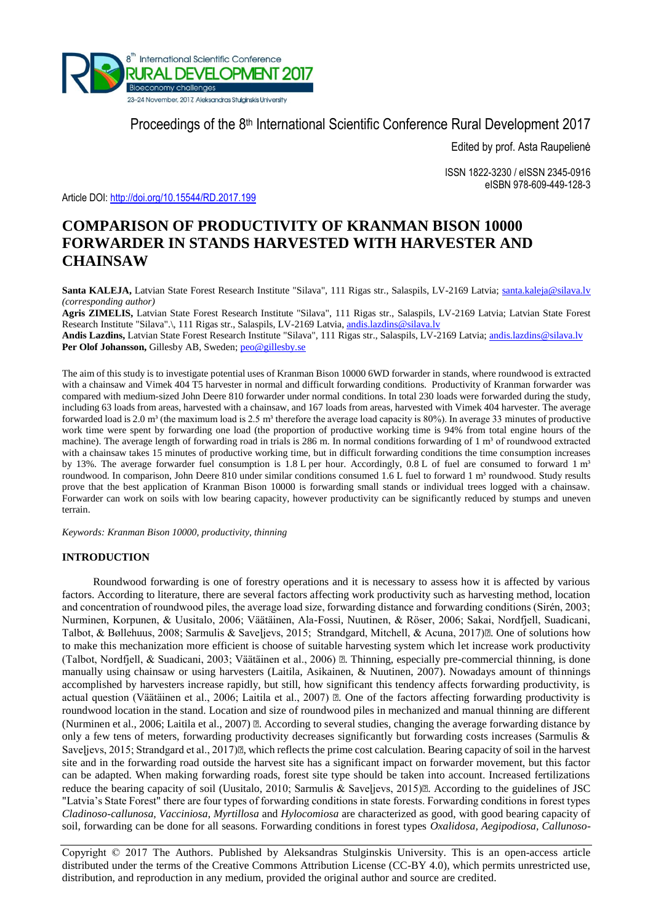

Proceedings of the 8<sup>th</sup> International Scientific Conference Rural Development 2017

Edited by prof. Asta Raupelienė

ISSN 1822-3230 / eISSN 2345-0916 eISBN 978-609-449-128-3

Article DOI:<http://doi.org/10.15544/RD.2017.199>

# **COMPARISON OF PRODUCTIVITY OF KRANMAN BISON 10000 FORWARDER IN STANDS HARVESTED WITH HARVESTER AND CHAINSAW**

Santa KALEJA, Latvian State Forest Research Institute "Silava", 111 Rigas str., Salaspils, LV-2169 Latvia; [santa.kaleja@silava.lv](mailto:santa.kaleja@silava.lv) *(corresponding author)* 

**Agris ZIMELIS,** Latvian State Forest Research Institute "Silava", 111 Rigas str., Salaspils, LV-2169 Latvia; Latvian State Forest Research Institute "Silava".\, 111 Rigas str., Salaspils, LV-2169 Latvia, [andis.lazdins@silava.lv](mailto:andis.lazdins@silava.lv)

**Andis Lazdins,** Latvian State Forest Research Institute "Silava", 111 Rigas str., Salaspils, LV-2169 Latvia; [andis.lazdins@silava.lv](mailto:andis.lazdins@silava.lv) Per Olof Johansson, Gillesby AB, Sweden; [peo@gillesby.se](mailto:peo@gillesby.se)

The aim of this study is to investigate potential uses of Kranman Bison 10000 6WD forwarder in stands, where roundwood is extracted with a chainsaw and Vimek 404 T5 harvester in normal and difficult forwarding conditions. Productivity of Kranman forwarder was compared with medium-sized John Deere 810 forwarder under normal conditions. In total 230 loads were forwarded during the study, including 63 loads from areas, harvested with a chainsaw, and 167 loads from areas, harvested with Vimek 404 harvester. The average forwarded load is 2.0 m<sup>3</sup> (the maximum load is 2.5 m<sup>3</sup> therefore the average load capacity is 80%). In average 33 minutes of productive work time were spent by forwarding one load (the proportion of productive working time is 94% from total engine hours of the machine). The average length of forwarding road in trials is 286 m. In normal conditions forwarding of 1 m<sup>3</sup> of roundwood extracted with a chainsaw takes 15 minutes of productive working time, but in difficult forwarding conditions the time consumption increases by 13%. The average forwarder fuel consumption is 1.8 L per hour. Accordingly, 0.8 L of fuel are consumed to forward  $1 \text{ m}^3$ roundwood. In comparison, John Deere 810 under similar conditions consumed 1.6 L fuel to forward 1 m<sup>3</sup> roundwood. Study results prove that the best application of Kranman Bison 10000 is forwarding small stands or individual trees logged with a chainsaw. Forwarder can work on soils with low bearing capacity, however productivity can be significantly reduced by stumps and uneven terrain.

*Keywords: Kranman Bison 10000, productivity, thinning*

# **INTRODUCTION**

Roundwood forwarding is one of forestry operations and it is necessary to assess how it is affected by various factors. According to literature, there are several factors affecting work productivity such as harvesting method, location and concentration of roundwood piles, the average load size, forwarding distance and forwarding conditions (Sirén, 2003; Nurminen, Korpunen, & Uusitalo, 2006; Väätäinen, Ala-Fossi, Nuutinen, & Röser, 2006; Sakai, Nordfjell, Suadicani, Talbot, & Bøllehuus, 2008; Sarmulis & Saveljevs, 2015; Strandgard, Mitchell, & Acuna, 2017) $\mathbb{E}$ . One of solutions how to make this mechanization more efficient is choose of suitable harvesting system which let increase work productivity (Talbot, Nordfjell, & Suadicani, 2003; Väätäinen et al., 2006)  $\mathbb{Z}$ . Thinning, especially pre-commercial thinning, is done manually using chainsaw or using harvesters (Laitila, Asikainen, & Nuutinen, 2007). Nowadays amount of thinnings accomplished by harvesters increase rapidly, but still, how significant this tendency affects forwarding productivity, is actual question (Väätäinen et al., 2006; Laitila et al., 2007)  $\mathbb{E}$ . One of the factors affecting forwarding productivity is roundwood location in the stand. Location and size of roundwood piles in mechanized and manual thinning are different (Nurminen et al., 2006; Laitila et al., 2007)  $\mathbb{Z}$ . According to several studies, changing the average forwarding distance by only a few tens of meters, forwarding productivity decreases significantly but forwarding costs increases (Sarmulis & Saveljevs, 2015; Strandgard et al., 2017). which reflects the prime cost calculation. Bearing capacity of soil in the harvest site and in the forwarding road outside the harvest site has a significant impact on forwarder movement, but this factor can be adapted. When making forwarding roads, forest site type should be taken into account. Increased fertilizations reduce the bearing capacity of soil (Uusitalo, 2010; Sarmulis & Saveljevs, 2015). According to the guidelines of JSC "Latvia's State Forest" there are four types of forwarding conditions in state forests. Forwarding conditions in forest types *Cladinoso-callunosa, Vacciniosa*, *Myrtillosa* and *Hylocomiosa* are characterized as good, with good bearing capacity of soil, forwarding can be done for all seasons. Forwarding conditions in forest types *Oxalidosa, Aegipodiosa, Callunoso-*

Copyright © 2017 The Authors. Published by Aleksandras Stulginskis University. This is an open-access article distributed under the terms of the Creative Commons Attribution License (CC-BY 4.0), which permits unrestricted use, distribution, and reproduction in any medium, provided the original author and source are credited.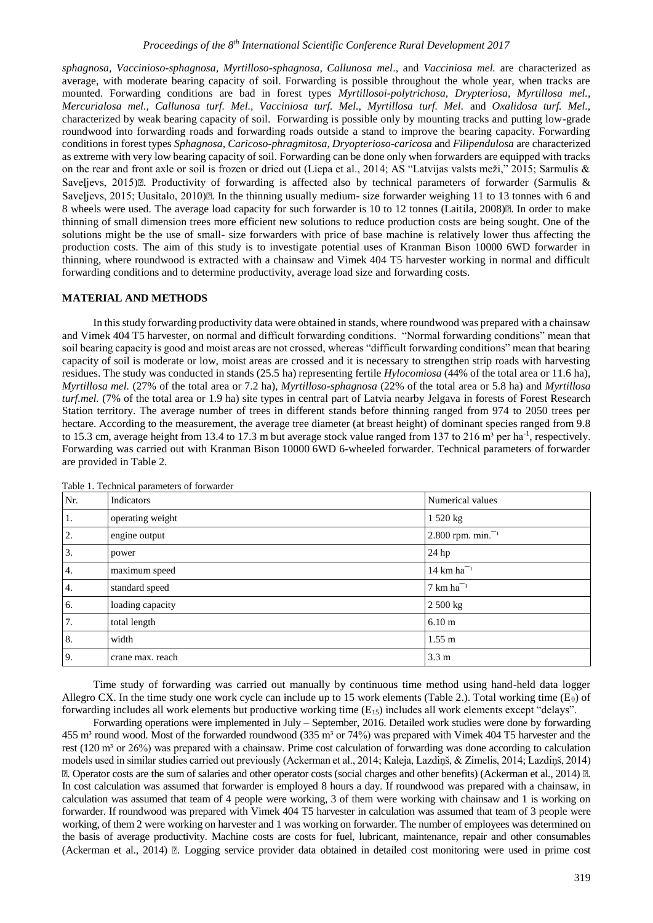*sphagnosa, Vaccinioso-sphagnosa, Myrtilloso-sphagnosa, Callunosa mel*., and *Vacciniosa mel.* are characterized as average, with moderate bearing capacity of soil. Forwarding is possible throughout the whole year, when tracks are mounted. Forwarding conditions are bad in forest types *Myrtillosoi-polytrichosa, Drypteriosa, Myrtillosa mel., Mercurialosa mel., Callunosa turf. Mel., Vacciniosa turf. Mel., Myrtillosa turf. Mel.* and *Oxalidosa turf. Mel.,*  characterized by weak bearing capacity of soil. Forwarding is possible only by mounting tracks and putting low-grade roundwood into forwarding roads and forwarding roads outside a stand to improve the bearing capacity. Forwarding conditions in forest types *Sphagnosa, Caricoso-phragmitosa, Dryopterioso-caricosa* and *Filipendulosa* are characterized as extreme with very low bearing capacity of soil. Forwarding can be done only when forwarders are equipped with tracks on the rear and front axle or soil is frozen or dried out (Liepa et al., 2014; AS "Latvijas valsts meži," 2015; Sarmulis & Saveljevs, 2015) $\mathbb{E}$ . Productivity of forwarding is affected also by technical parameters of forwarder (Sarmulis & Saveljevs, 2015; Uusitalo, 2010)<sup>[2]</sup>. In the thinning usually medium- size forwarder weighing 11 to 13 tonnes with 6 and 8 wheels were used. The average load capacity for such forwarder is 10 to 12 tonnes (Laitila, 2008)<sup>[2]</sup>. In order to make thinning of small dimension trees more efficient new solutions to reduce production costs are being sought. One of the solutions might be the use of small- size forwarders with price of base machine is relatively lower thus affecting the production costs. The aim of this study is to investigate potential uses of Kranman Bison 10000 6WD forwarder in thinning, where roundwood is extracted with a chainsaw and Vimek 404 T5 harvester working in normal and difficult forwarding conditions and to determine productivity, average load size and forwarding costs.

#### **MATERIAL AND METHODS**

In this study forwarding productivity data were obtained in stands, where roundwood was prepared with a chainsaw and Vimek 404 T5 harvester, on normal and difficult forwarding conditions. "Normal forwarding conditions" mean that soil bearing capacity is good and moist areas are not crossed, whereas "difficult forwarding conditions" mean that bearing capacity of soil is moderate or low, moist areas are crossed and it is necessary to strengthen strip roads with harvesting residues. The study was conducted in stands (25.5 ha) representing fertile *Hylocomiosa* (44% of the total area or 11.6 ha), *Myrtillosa mel.* (27% of the total area or 7.2 ha), *Myrtilloso-sphagnosa* (22% of the total area or 5.8 ha) and *Myrtillosa turf.mel.* (7% of the total area or 1.9 ha) site types in central part of Latvia nearby Jelgava in forests of Forest Research Station territory. The average number of trees in different stands before thinning ranged from 974 to 2050 trees per hectare. According to the measurement, the average tree diameter (at breast height) of dominant species ranged from 9.8 to 15.3 cm, average height from 13.4 to 17.3 m but average stock value ranged from 137 to 216 m<sup>3</sup> per ha<sup>-1</sup>, respectively. Forwarding was carried out with Kranman Bison 10000 6WD 6-wheeled forwarder. Technical parameters of forwarder are provided in Table 2.

| Nr.              | Indicators       | Numerical values                |
|------------------|------------------|---------------------------------|
| 1.               | operating weight | 1520 kg                         |
| 2.               | engine output    | 2.800 rpm. $min^{-1}$           |
| $\overline{3}$ . | power            | 24 hp                           |
| $\overline{4}$ . | maximum speed    | $14 \text{ km} \text{ ha}^{-1}$ |
| 4.               | standard speed   | $7 \text{ km} \text{ ha}^{-1}$  |
| 6.               | loading capacity | 2 500 kg                        |
| 7.               | total length     | 6.10 <sub>m</sub>               |
| 8.               | width            | $1.55 \text{ m}$                |
| 9 <sub>1</sub>   | crane max. reach | 3.3 <sub>m</sub>                |

Table 1. Technical parameters of forwarder

Time study of forwarding was carried out manually by continuous time method using hand-held data logger Allegro CX. In the time study one work cycle can include up to 15 work elements (Table 2.). Total working time  $(E_0)$  of forwarding includes all work elements but productive working time (E15) includes all work elements except "delays".

Forwarding operations were implemented in July – September, 2016. Detailed work studies were done by forwarding 455 m<sup>3</sup> round wood. Most of the forwarded roundwood (335 m<sup>3</sup> or 74%) was prepared with Vimek 404 T5 harvester and the rest (120 m<sup>3</sup> or 26%) was prepared with a chainsaw. Prime cost calculation of forwarding was done according to calculation models used in similar studies carried out previously (Ackerman et al., 2014; Kaleja, Lazdiņš, & Zimelis, 2014; Lazdiņš, 2014) <sup>2</sup>. Operator costs are the sum of salaries and other operator costs (social charges and other benefits) (Ackerman et al., 2014) <sup>2</sup>. In cost calculation was assumed that forwarder is employed 8 hours a day. If roundwood was prepared with a chainsaw, in calculation was assumed that team of 4 people were working, 3 of them were working with chainsaw and 1 is working on forwarder. If roundwood was prepared with Vimek 404 T5 harvester in calculation was assumed that team of 3 people were working, of them 2 were working on harvester and 1 was working on forwarder. The number of employees was determined on the basis of average productivity. Machine costs are costs for fuel, lubricant, maintenance, repair and other consumables (Ackerman et al., 2014)  $\mathbb{Z}$ . Logging service provider data obtained in detailed cost monitoring were used in prime cost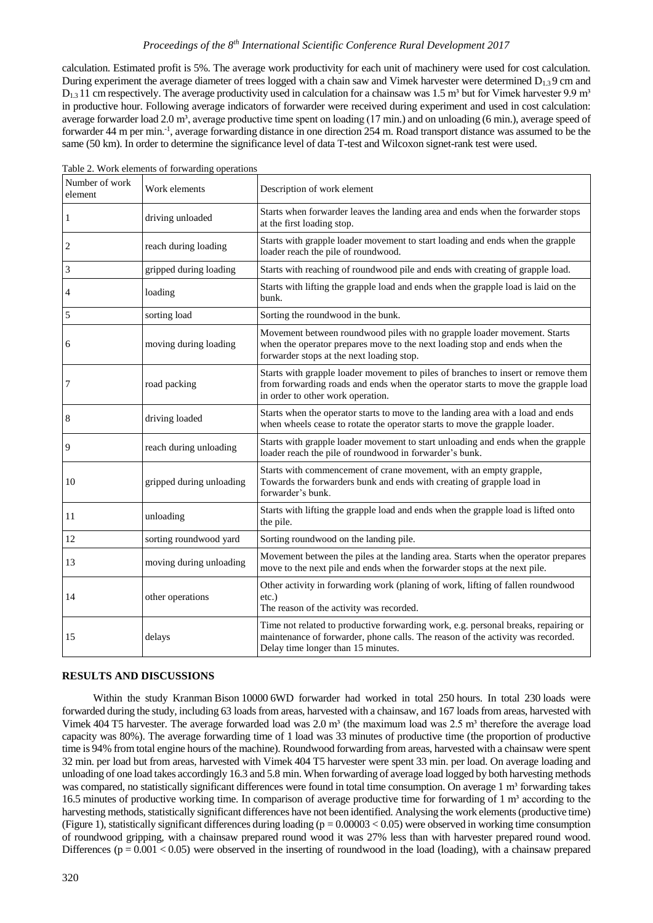# *Proceedings of the 8th International Scientific Conference Rural Development 2017*

calculation. Estimated profit is 5%. The average work productivity for each unit of machinery were used for cost calculation. During experiment the average diameter of trees logged with a chain saw and Vimek harvester were determined  $D_{1,3}$  9 cm and  $D_{1,3}$  11 cm respectively. The average productivity used in calculation for a chainsaw was 1.5 m<sup>3</sup> but for Vimek harvester 9.9 m<sup>3</sup> in productive hour. Following average indicators of forwarder were received during experiment and used in cost calculation: average forwarder load 2.0 m<sup>3</sup>, average productive time spent on loading (17 min.) and on unloading (6 min.), average speed of forwarder 44 m per min.<sup>-1</sup>, average forwarding distance in one direction 254 m. Road transport distance was assumed to be the same (50 km). In order to determine the significance level of data T-test and Wilcoxon signet-rank test were used.

| Number of work<br>element | Work elements            | Description of work element                                                                                                                                                                                 |
|---------------------------|--------------------------|-------------------------------------------------------------------------------------------------------------------------------------------------------------------------------------------------------------|
| 1                         | driving unloaded         | Starts when forwarder leaves the landing area and ends when the forwarder stops<br>at the first loading stop.                                                                                               |
| 2                         | reach during loading     | Starts with grapple loader movement to start loading and ends when the grapple<br>loader reach the pile of roundwood.                                                                                       |
| 3                         | gripped during loading   | Starts with reaching of roundwood pile and ends with creating of grapple load.                                                                                                                              |
| 4                         | loading                  | Starts with lifting the grapple load and ends when the grapple load is laid on the<br>bunk.                                                                                                                 |
| 5                         | sorting load             | Sorting the roundwood in the bunk.                                                                                                                                                                          |
| 6                         | moving during loading    | Movement between roundwood piles with no grapple loader movement. Starts<br>when the operator prepares move to the next loading stop and ends when the<br>forwarder stops at the next loading stop.         |
| 7                         | road packing             | Starts with grapple loader movement to piles of branches to insert or remove them<br>from forwarding roads and ends when the operator starts to move the grapple load<br>in order to other work operation.  |
| 8                         | driving loaded           | Starts when the operator starts to move to the landing area with a load and ends<br>when wheels cease to rotate the operator starts to move the grapple loader.                                             |
| 9                         | reach during unloading   | Starts with grapple loader movement to start unloading and ends when the grapple<br>loader reach the pile of roundwood in forwarder's bunk.                                                                 |
| 10                        | gripped during unloading | Starts with commencement of crane movement, with an empty grapple,<br>Towards the forwarders bunk and ends with creating of grapple load in<br>forwarder's bunk.                                            |
| 11                        | unloading                | Starts with lifting the grapple load and ends when the grapple load is lifted onto<br>the pile.                                                                                                             |
| 12                        | sorting roundwood yard   | Sorting roundwood on the landing pile.                                                                                                                                                                      |
| 13                        | moving during unloading  | Movement between the piles at the landing area. Starts when the operator prepares<br>move to the next pile and ends when the forwarder stops at the next pile.                                              |
| 14                        | other operations         | Other activity in forwarding work (planing of work, lifting of fallen roundwood<br>$etc.$ )<br>The reason of the activity was recorded.                                                                     |
| 15                        | delays                   | Time not related to productive forwarding work, e.g. personal breaks, repairing or<br>maintenance of forwarder, phone calls. The reason of the activity was recorded.<br>Delay time longer than 15 minutes. |

Table 2. Work elements of forwarding operations

# **RESULTS AND DISCUSSIONS**

Within the study Kranman Bison 10000 6WD forwarder had worked in total 250 hours. In total 230 loads were forwarded during the study, including 63 loads from areas, harvested with a chainsaw, and 167 loads from areas, harvested with Vimek 404 T5 harvester. The average forwarded load was  $2.0 \text{ m}^3$  (the maximum load was  $2.5 \text{ m}^3$  therefore the average load capacity was 80%). The average forwarding time of 1 load was 33 minutes of productive time (the proportion of productive time is 94% from total engine hours of the machine). Roundwood forwarding from areas, harvested with a chainsaw were spent 32 min. per load but from areas, harvested with Vimek 404 T5 harvester were spent 33 min. per load. On average loading and unloading of one load takes accordingly 16.3 and 5.8 min. When forwarding of average load logged by both harvesting methods was compared, no statistically significant differences were found in total time consumption. On average 1 m<sup>3</sup> forwarding takes 16.5 minutes of productive working time. In comparison of average productive time for forwarding of 1 m<sup>3</sup> according to the harvesting methods, statistically significant differences have not been identified. Analysing the work elements (productive time) (Figure 1), statistically significant differences during loading ( $p = 0.00003 < 0.05$ ) were observed in working time consumption of roundwood gripping, with a chainsaw prepared round wood it was 27% less than with harvester prepared round wood. Differences ( $p = 0.001 < 0.05$ ) were observed in the inserting of roundwood in the load (loading), with a chainsaw prepared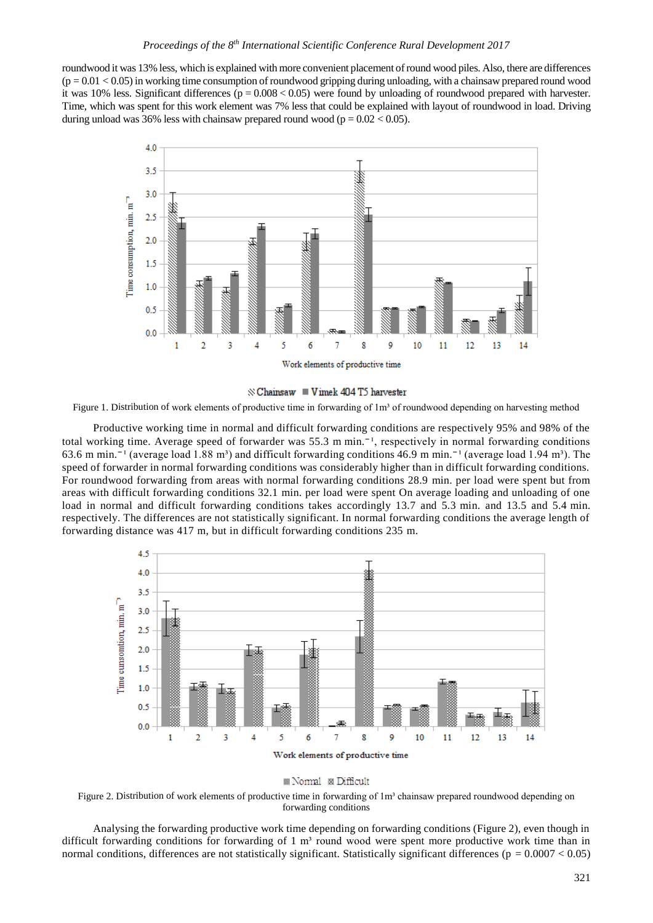roundwood it was 13% less, which is explained with more convenient placement of round wood piles. Also, there are differences  $(p = 0.01 < 0.05)$  in working time consumption of roundwood gripping during unloading, with a chainsaw prepared round wood it was 10% less. Significant differences  $(p = 0.008 < 0.05)$  were found by unloading of roundwood prepared with harvester. Time, which was spent for this work element was 7% less that could be explained with layout of roundwood in load. Driving during unload was 36% less with chainsaw prepared round wood ( $p = 0.02 < 0.05$ ).





Figure 1. Distribution of work elements of productive time in forwarding of 1m<sup>3</sup> of roundwood depending on harvesting method

Productive working time in normal and difficult forwarding conditions are respectively 95% and 98% of the total working time. Average speed of forwarder was 55.3 m min.<sup> $-1$ </sup>, respectively in normal forwarding conditions 63.6 m min.<sup> $-1$ </sup> (average load 1.88 m<sup>3</sup>) and difficult forwarding conditions 46.9 m min.<sup> $-1$ </sup> (average load 1.94 m<sup>3</sup>). The speed of forwarder in normal forwarding conditions was considerably higher than in difficult forwarding conditions. For roundwood forwarding from areas with normal forwarding conditions 28.9 min. per load were spent but from areas with difficult forwarding conditions 32.1 min. per load were spent On average loading and unloading of one load in normal and difficult forwarding conditions takes accordingly 13.7 and 5.3 min. and 13.5 and 5.4 min. respectively. The differences are not statistically significant. In normal forwarding conditions the average length of forwarding distance was 417 m, but in difficult forwarding conditions 235 m.





Figure 2. Distribution of work elements of productive time in forwarding of 1m<sup>3</sup> chainsaw prepared roundwood depending on forwarding conditions

Analysing the forwarding productive work time depending on forwarding conditions (Figure 2), even though in difficult forwarding conditions for forwarding of 1  $m<sup>3</sup>$  round wood were spent more productive work time than in normal conditions, differences are not statistically significant. Statistically significant differences ( $p = 0.0007 < 0.05$ )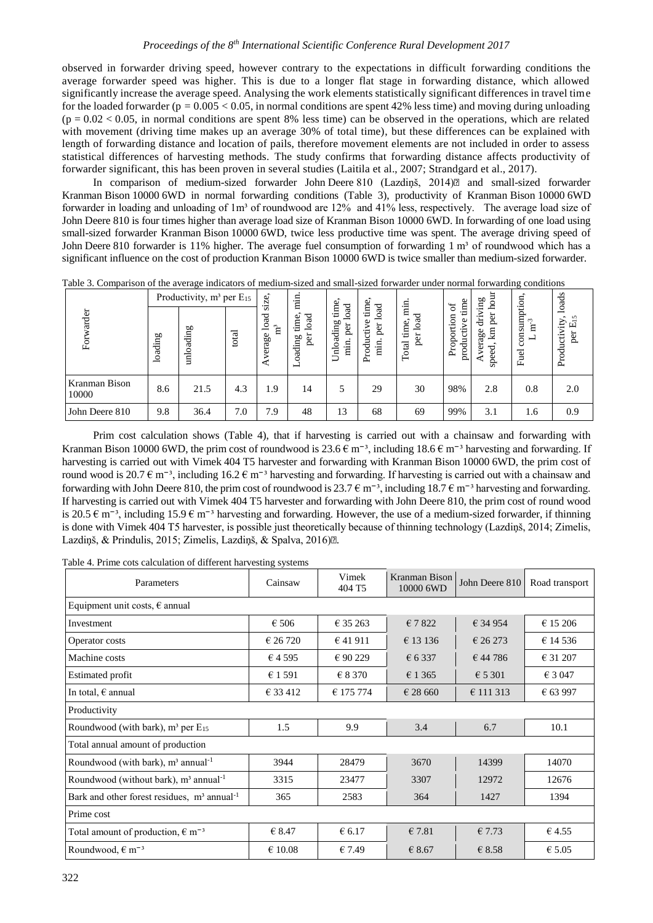observed in forwarder driving speed, however contrary to the expectations in difficult forwarding conditions the average forwarder speed was higher. This is due to a longer flat stage in forwarding distance, which allowed significantly increase the average speed. Analysing the work elements statistically significant differences in travel time for the loaded forwarder ( $p = 0.005 < 0.05$ , in normal conditions are spent 42% less time) and moving during unloading  $(p = 0.02 < 0.05$ , in normal conditions are spent 8% less time) can be observed in the operations, which are related with movement (driving time makes up an average 30% of total time), but these differences can be explained with length of forwarding distance and location of pails, therefore movement elements are not included in order to assess statistical differences of harvesting methods. The study confirms that forwarding distance affects productivity of forwarder significant, this has been proven in several studies (Laitila et al., 2007; Strandgard et al., 2017).

In comparison of medium-sized forwarder John Deere 810 (Lazdinš, 2014) and small-sized forwarder Kranman Bison 10000 6WD in normal forwarding conditions (Table 3), productivity of Kranman Bison 10000 6WD forwarder in loading and unloading of 1m<sup>3</sup> of roundwood are 12% and 41% less, respectively. The average load size of John Deere 810 is four times higher than average load size of Kranman Bison 10000 6WD. In forwarding of one load using small-sized forwarder Kranman Bison 10000 6WD, twice less productive time was spent. The average driving speed of John Deere 810 forwarder is 11% higher. The average fuel consumption of forwarding 1 m<sup>3</sup> of roundwood which has a significant influence on the cost of production Kranman Bison 10000 6WD is twice smaller than medium-sized forwarder.

|                        | -- 0<br>Productivity, m <sup>3</sup> per E <sub>15</sub> |             |       | .<br>ize                                    | $\frac{1}{2}$                      |                                       | نه                                                       |                                                            | $\sigma$                             | hour<br>gui                           | -9 - - - - - -                       | loads                         |
|------------------------|----------------------------------------------------------|-------------|-------|---------------------------------------------|------------------------------------|---------------------------------------|----------------------------------------------------------|------------------------------------------------------------|--------------------------------------|---------------------------------------|--------------------------------------|-------------------------------|
| arder                  | loading                                                  | oading<br>É | total | òń<br>$\mathbf{a}$<br>으<br>ិ<br>verage<br>∢ | oad<br>time,<br>per<br>oading<br>ᆸ | time.<br>oad<br>Unloading<br>per<br>Ė | load<br>Ė<br>Φ<br>per<br>ctiv<br>Produc<br>$\frac{1}{2}$ | $\frac{1}{2}$<br>$_{\text{load}}$<br>time,<br>per<br>Total | time<br>Proportion<br>ye<br>producti | per<br>੶ੑੑਜ਼<br>且<br>age<br>ರ<br>spee | consumption<br>$m^{-3}$<br>╾<br>Fuel | Ľ<br>Productivity<br>ш<br>per |
| Kranman Bison<br>10000 | 8.6                                                      | 21.5        | 4.3   | 1.9                                         | 14                                 | 5                                     | 29                                                       | 30                                                         | 98%                                  | 2.8                                   | 0.8                                  | 2.0                           |
| John Deere 810         | 9.8                                                      | 36.4        | 7.0   | 7.9                                         | 48                                 | 13                                    | 68                                                       | 69                                                         | 99%                                  | 3.1                                   | 1.6                                  | 0.9                           |

Table 3. Comparison of the average indicators of medium-sized and small-sized forwarder under normal forwarding conditions

Prim cost calculation shows (Table 4), that if harvesting is carried out with a chainsaw and forwarding with Kranman Bison 10000 6WD, the prim cost of roundwood is  $23.6 \text{ } \in \text{m}^{-3}$ , including  $18.6 \text{ } \in \text{m}^{-3}$  harvesting and forwarding. If harvesting is carried out with Vimek 404 T5 harvester and forwarding with Kranman Bison 10000 6WD, the prim cost of round wood is 20.7  $\epsilon$  m<sup>-3</sup>, including 16.2  $\epsilon$  m<sup>-3</sup> harvesting and forwarding. If harvesting is carried out with a chainsaw and forwarding with John Deere 810, the prim cost of roundwood is 23.7  $\epsilon$  m<sup>-3</sup>, including 18.7  $\epsilon$  m<sup>-3</sup> harvesting and forwarding. If harvesting is carried out with Vimek 404 T5 harvester and forwarding with John Deere 810, the prim cost of round wood is 20.5  $\epsilon$  m<sup>-3</sup>, including 15.9  $\epsilon$  m<sup>-3</sup> harvesting and forwarding. However, the use of a medium-sized forwarder, if thinning is done with Vimek 404 T5 harvester, is possible just theoretically because of thinning technology (Lazdiņš, 2014; Zimelis, Lazdiņš, & Prindulis, 2015; Zimelis, Lazdiņš, & Spalva, 2016)<sup>2</sup>.

Table 4. Prime cots calculation of different harvesting systems

| Parameters                                                | Cainsaw          | Vimek<br>404 T <sub>5</sub> | Kranman Bison<br>10000 6WD | John Deere 810   | Road transport   |  |  |  |  |
|-----------------------------------------------------------|------------------|-----------------------------|----------------------------|------------------|------------------|--|--|--|--|
| Equipment unit costs, $\epsilon$ annual                   |                  |                             |                            |                  |                  |  |  |  |  |
| Investment                                                | € 506            | € 35 263                    | €7822                      | € 34 954         | € 15 206         |  |  |  |  |
| Operator costs                                            | € 26720          | € 41 911                    | € 13 136                   | € 26 273         | € 14 536         |  |  |  |  |
| Machine costs                                             | €4595            | € 90 229                    | € 6337                     | €44786           | € 31 207         |  |  |  |  |
| <b>Estimated profit</b>                                   | € 1 591          | € 8 370                     | € 1 3 6 5                  | $\epsilon$ 5 301 | $\epsilon$ 3 047 |  |  |  |  |
| In total, $\epsilon$ annual                               | € 33 412         | € 175 774<br>€ 28 660       |                            | € 111 313        | € 63 997         |  |  |  |  |
| Productivity                                              |                  |                             |                            |                  |                  |  |  |  |  |
| Roundwood (with bark), $m^3$ per $E_{15}$                 | 1.5              | 9.9                         | 3.4                        | 6.7              | 10.1             |  |  |  |  |
| Total annual amount of production                         |                  |                             |                            |                  |                  |  |  |  |  |
| Roundwood (with bark), $m^3$ annual <sup>-1</sup>         | 3944             | 28479                       | 3670                       | 14399            | 14070            |  |  |  |  |
| Roundwood (without bark), $m^3$ annual <sup>-1</sup>      | 3315             | 23477                       | 3307                       | 12972            | 12676            |  |  |  |  |
| Bark and other forest residues, $m3$ annual <sup>-1</sup> | 365              | 2583                        | 364                        | 1427             | 1394             |  |  |  |  |
| Prime cost                                                |                  |                             |                            |                  |                  |  |  |  |  |
| Total amount of production, $\epsilon$ m <sup>-3</sup>    | € 8.47           | $\epsilon$ 6.17             | € 7.81                     | €7.73            | € 4.55           |  |  |  |  |
| Roundwood, $\epsilon$ m <sup>-3</sup>                     | $\epsilon$ 10.08 | €7.49                       | € 8.67                     | € 8.58           | $\epsilon$ 5.05  |  |  |  |  |